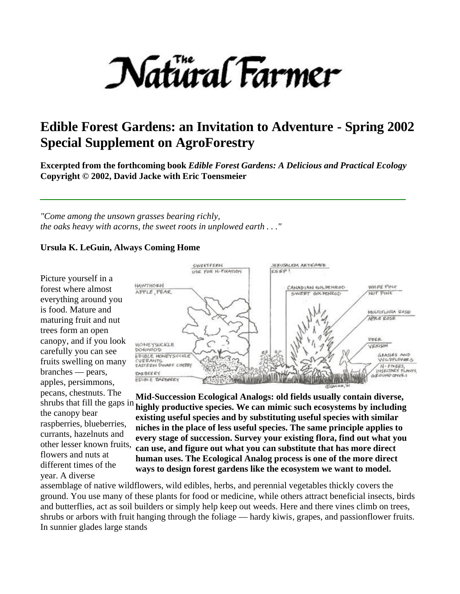# Natural Farmer

## **Edible Forest Gardens: an Invitation to Adventure - Spring 2002 Special Supplement on AgroForestry**

**Excerpted from the forthcoming book** *Edible Forest Gardens: A Delicious and Practical Ecology* **Copyright © 2002, David Jacke with Eric Toensmeier**

*"Come among the unsown grasses bearing richly, the oaks heavy with acorns, the sweet roots in unplowed earth . . ."*

#### **Ursula K. LeGuin, Always Coming Home**

Picture yourself in a forest where almost everything around you is food. Mature and maturing fruit and nut trees form an open canopy, and if you look carefully you can see fruits swelling on many branches — pears, apples, persimmons, pecans, chestnuts. The shrubs that fill the gaps in the canopy bear raspberries, blueberries, currants, hazelnuts and other lesser known fruits, flowers and nuts at different times of the year. A diverse



**Mid-Succession Ecological Analogs: old fields usually contain diverse, highly productive species. We can mimic such ecosystems by including existing useful species and by substituting useful species with similar niches in the place of less useful species. The same principle applies to every stage of succession. Survey your existing flora, find out what you can use, and figure out what you can substitute that has more direct human uses. The Ecological Analog process is one of the more direct ways to design forest gardens like the ecosystem we want to model.** 

assemblage of native wildflowers, wild edibles, herbs, and perennial vegetables thickly covers the ground. You use many of these plants for food or medicine, while others attract beneficial insects, birds and butterflies, act as soil builders or simply help keep out weeds. Here and there vines climb on trees, shrubs or arbors with fruit hanging through the foliage — hardy kiwis, grapes, and passionflower fruits. In sunnier glades large stands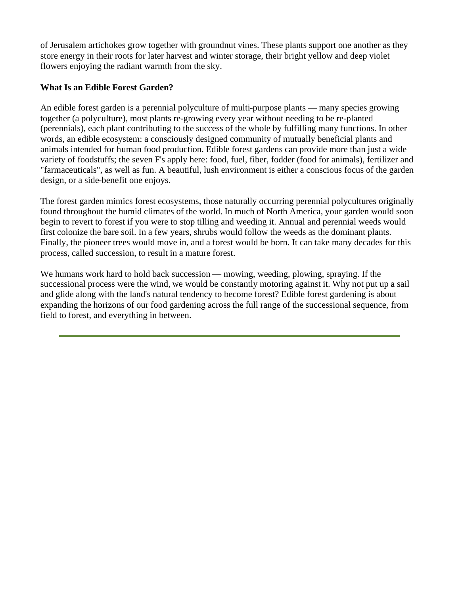of Jerusalem artichokes grow together with groundnut vines. These plants support one another as they store energy in their roots for later harvest and winter storage, their bright yellow and deep violet flowers enjoying the radiant warmth from the sky.

#### **What Is an Edible Forest Garden?**

An edible forest garden is a perennial polyculture of multi-purpose plants — many species growing together (a polyculture), most plants re-growing every year without needing to be re-planted (perennials), each plant contributing to the success of the whole by fulfilling many functions. In other words, an edible ecosystem: a consciously designed community of mutually beneficial plants and animals intended for human food production. Edible forest gardens can provide more than just a wide variety of foodstuffs; the seven F's apply here: food, fuel, fiber, fodder (food for animals), fertilizer and "farmaceuticals", as well as fun. A beautiful, lush environment is either a conscious focus of the garden design, or a side-benefit one enjoys.

The forest garden mimics forest ecosystems, those naturally occurring perennial polycultures originally found throughout the humid climates of the world. In much of North America, your garden would soon begin to revert to forest if you were to stop tilling and weeding it. Annual and perennial weeds would first colonize the bare soil. In a few years, shrubs would follow the weeds as the dominant plants. Finally, the pioneer trees would move in, and a forest would be born. It can take many decades for this process, called succession, to result in a mature forest.

We humans work hard to hold back succession — mowing, weeding, plowing, spraying. If the successional process were the wind, we would be constantly motoring against it. Why not put up a sail and glide along with the land's natural tendency to become forest? Edible forest gardening is about expanding the horizons of our food gardening across the full range of the successional sequence, from field to forest, and everything in between.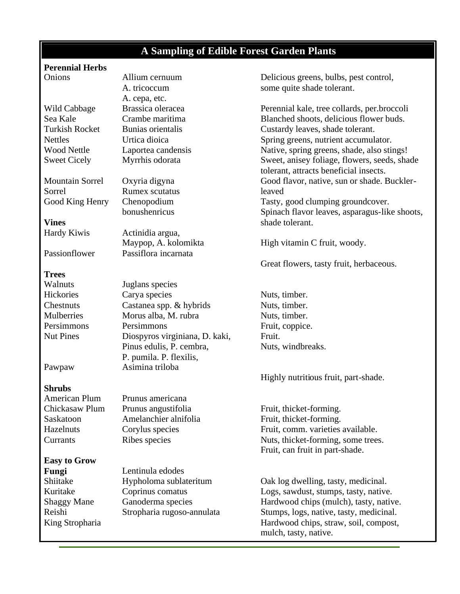## **A Sampling of Edible Forest Garden Plants**

#### **Perennial Herbs** Onions

| Onions                 | Allium cernuum                 | Delicious greens, bulbs, pest control,                                                 |
|------------------------|--------------------------------|----------------------------------------------------------------------------------------|
|                        | A. tricoccum                   | some quite shade tolerant.                                                             |
|                        | A. cepa, etc.                  |                                                                                        |
| Wild Cabbage           | Brassica oleracea              | Perennial kale, tree collards, per.broccoli                                            |
| Sea Kale               | Crambe maritima                | Blanched shoots, delicious flower buds.                                                |
| <b>Turkish Rocket</b>  | Bunias orientalis              | Custardy leaves, shade tolerant.                                                       |
| <b>Nettles</b>         | Urtica dioica                  | Spring greens, nutrient accumulator.                                                   |
| Wood Nettle            | Laportea candensis             | Native, spring greens, shade, also stings!                                             |
| <b>Sweet Cicely</b>    | Myrrhis odorata                | Sweet, anisey foliage, flowers, seeds, shade<br>tolerant, attracts beneficial insects. |
| <b>Mountain Sorrel</b> | Oxyria digyna                  | Good flavor, native, sun or shade. Buckler-                                            |
| Sorrel                 | <b>Rumex</b> scutatus          | leaved                                                                                 |
| Good King Henry        | Chenopodium                    | Tasty, good clumping groundcover.                                                      |
| <b>Vines</b>           | bonushenricus                  | Spinach flavor leaves, asparagus-like shoots,<br>shade tolerant.                       |
| <b>Hardy Kiwis</b>     | Actinidia argua,               |                                                                                        |
|                        | Maypop, A. kolomikta           | High vitamin C fruit, woody.                                                           |
| Passionflower          | Passiflora incarnata           |                                                                                        |
|                        |                                | Great flowers, tasty fruit, herbaceous.                                                |
| <b>Trees</b>           |                                |                                                                                        |
| Walnuts                | Juglans species                |                                                                                        |
| Hickories              | Carya species                  | Nuts, timber.                                                                          |
| Chestnuts              | Castanea spp. & hybrids        | Nuts, timber.                                                                          |
| Mulberries             | Morus alba, M. rubra           | Nuts, timber.                                                                          |
| Persimmons             | Persimmons                     | Fruit, coppice.                                                                        |
| <b>Nut Pines</b>       | Diospyros virginiana, D. kaki, | Fruit.                                                                                 |
|                        | Pinus edulis, P. cembra,       | Nuts, windbreaks.                                                                      |
|                        | P. pumila. P. flexilis,        |                                                                                        |
| Pawpaw                 | Asimina triloba                |                                                                                        |
|                        |                                | Highly nutritious fruit, part-shade.                                                   |
| <b>Shrubs</b>          |                                |                                                                                        |
| <b>American Plum</b>   | Prunus americana               |                                                                                        |
| Chickasaw Plum         | Prunus angustifolia            | Fruit, thicket-forming.                                                                |
| Saskatoon              | Amelanchier alnifolia          | Fruit, thicket-forming.                                                                |
| Hazelnuts              | Corylus species                | Fruit, comm. varieties available.                                                      |
| Currants               | Ribes species                  | Nuts, thicket-forming, some trees.                                                     |
|                        |                                | Fruit, can fruit in part-shade.                                                        |
| <b>Easy to Grow</b>    |                                |                                                                                        |
| Fungi                  | Lentinula edodes               |                                                                                        |
| Shiitake               | Hypholoma sublateritum         | Oak log dwelling, tasty, medicinal.                                                    |
| Kuritake               | Coprinus comatus               | Logs, sawdust, stumps, tasty, native.                                                  |
| <b>Shaggy Mane</b>     | Ganoderma species              | Hardwood chips (mulch), tasty, native.                                                 |
| Reishi                 | Stropharia rugoso-annulata     | Stumps, logs, native, tasty, medicinal.                                                |
| King Stropharia        |                                | Hardwood chips, straw, soil, compost,<br>mulch, tasty, native.                         |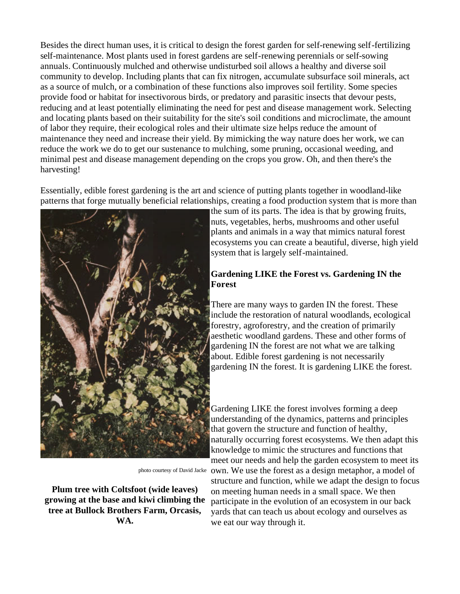Besides the direct human uses, it is critical to design the forest garden for self-renewing self-fertilizing self-maintenance. Most plants used in forest gardens are self-renewing perennials or self-sowing annuals. Continuously mulched and otherwise undisturbed soil allows a healthy and diverse soil community to develop. Including plants that can fix nitrogen, accumulate subsurface soil minerals, act as a source of mulch, or a combination of these functions also improves soil fertility. Some species provide food or habitat for insectivorous birds, or predatory and parasitic insects that devour pests, reducing and at least potentially eliminating the need for pest and disease management work. Selecting and locating plants based on their suitability for the site's soil conditions and microclimate, the amount of labor they require, their ecological roles and their ultimate size helps reduce the amount of maintenance they need and increase their yield. By mimicking the way nature does her work, we can reduce the work we do to get our sustenance to mulching, some pruning, occasional weeding, and minimal pest and disease management depending on the crops you grow. Oh, and then there's the harvesting!

Essentially, edible forest gardening is the art and science of putting plants together in woodland-like patterns that forge mutually beneficial relationships, creating a food production system that is more than



**Plum tree with Coltsfoot (wide leaves) growing at the base and kiwi climbing the tree at Bullock Brothers Farm, Orcasis, WA.**

the sum of its parts. The idea is that by growing fruits, nuts, vegetables, herbs, mushrooms and other useful plants and animals in a way that mimics natural forest ecosystems you can create a beautiful, diverse, high yield system that is largely self-maintained.

#### **Gardening LIKE the Forest vs. Gardening IN the Forest**

There are many ways to garden IN the forest. These include the restoration of natural woodlands, ecological forestry, agroforestry, and the creation of primarily aesthetic woodland gardens. These and other forms of gardening IN the forest are not what we are talking about. Edible forest gardening is not necessarily gardening IN the forest. It is gardening LIKE the forest.

Gardening LIKE the forest involves forming a deep understanding of the dynamics, patterns and principles that govern the structure and function of healthy, naturally occurring forest ecosystems. We then adapt this knowledge to mimic the structures and functions that meet our needs and help the garden ecosystem to meet its photo courtesy of David Jacke own. We use the forest as a design metaphor, a model of structure and function, while we adapt the design to focus on meeting human needs in a small space. We then participate in the evolution of an ecosystem in our back yards that can teach us about ecology and ourselves as we eat our way through it.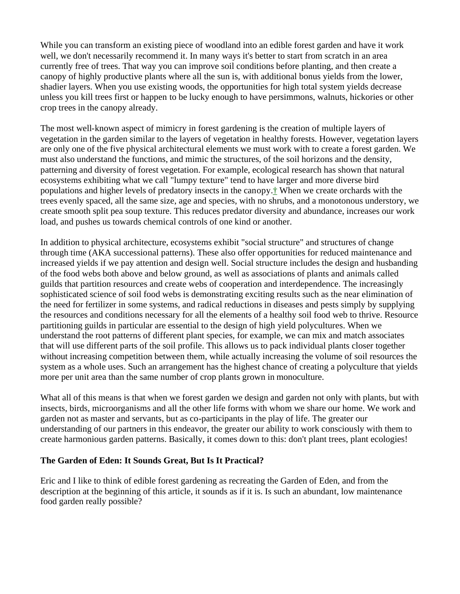While you can transform an existing piece of woodland into an edible forest garden and have it work well, we don't necessarily recommend it. In many ways it's better to start from scratch in an area currently free of trees. That way you can improve soil conditions before planting, and then create a canopy of highly productive plants where all the sun is, with additional bonus yields from the lower, shadier layers. When you use existing woods, the opportunities for high total system yields decrease unless you kill trees first or happen to be lucky enough to have persimmons, walnuts, hickories or other crop trees in the canopy already.

The most well-known aspect of mimicry in forest gardening is the creation of multiple layers of vegetation in the garden similar to the layers of vegetation in healthy forests. However, vegetation layers are only one of the five physical architectural elements we must work with to create a forest garden. We must also understand the functions, and mimic the structures, of the soil horizons and the density, patterning and diversity of forest vegetation. For example, ecological research has shown that natural ecosystems exhibiting what we call "lumpy texture" tend to have larger and more diverse bird populations and higher levels of predatory insects in the canopy.† When we create orchards with the trees evenly spaced, all the same size, age and species, with no shrubs, and a monotonous understory, we create smooth split pea soup texture. This reduces predator diversity and abundance, increases our work load, and pushes us towards chemical controls of one kind or another.

In addition to physical architecture, ecosystems exhibit "social structure" and structures of change through time (AKA successional patterns). These also offer opportunities for reduced maintenance and increased yields if we pay attention and design well. Social structure includes the design and husbanding of the food webs both above and below ground, as well as associations of plants and animals called guilds that partition resources and create webs of cooperation and interdependence. The increasingly sophisticated science of soil food webs is demonstrating exciting results such as the near elimination of the need for fertilizer in some systems, and radical reductions in diseases and pests simply by supplying the resources and conditions necessary for all the elements of a healthy soil food web to thrive. Resource partitioning guilds in particular are essential to the design of high yield polycultures. When we understand the root patterns of different plant species, for example, we can mix and match associates that will use different parts of the soil profile. This allows us to pack individual plants closer together without increasing competition between them, while actually increasing the volume of soil resources the system as a whole uses. Such an arrangement has the highest chance of creating a polyculture that yields more per unit area than the same number of crop plants grown in monoculture.

What all of this means is that when we forest garden we design and garden not only with plants, but with insects, birds, microorganisms and all the other life forms with whom we share our home. We work and garden not as master and servants, but as co-participants in the play of life. The greater our understanding of our partners in this endeavor, the greater our ability to work consciously with them to create harmonious garden patterns. Basically, it comes down to this: don't plant trees, plant ecologies!

#### **The Garden of Eden: It Sounds Great, But Is It Practical?**

Eric and I like to think of edible forest gardening as recreating the Garden of Eden, and from the description at the beginning of this article, it sounds as if it is. Is such an abundant, low maintenance food garden really possible?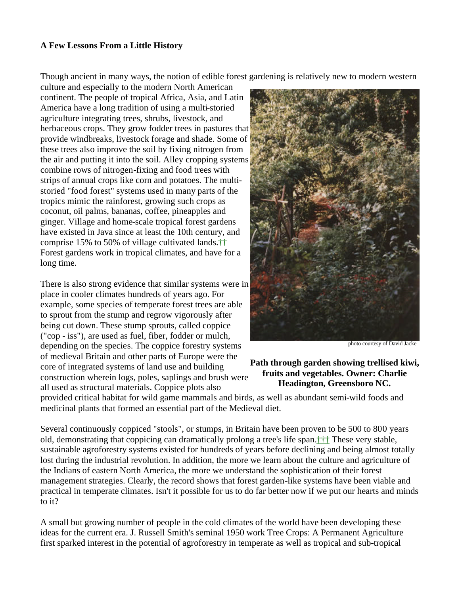#### **A Few Lessons From a Little History**

Though ancient in many ways, the notion of edible forest gardening is relatively new to modern western

culture and especially to the modern North American continent. The people of tropical Africa, Asia, and Latin America have a long tradition of using a multi-storied agriculture integrating trees, shrubs, livestock, and herbaceous crops. They grow fodder trees in pastures that provide windbreaks, livestock forage and shade. Some of these trees also improve the soil by fixing nitrogen from the air and putting it into the soil. Alley cropping systems combine rows of nitrogen-fixing and food trees with strips of annual crops like corn and potatoes. The multistoried "food forest" systems used in many parts of the tropics mimic the rainforest, growing such crops as coconut, oil palms, bananas, coffee, pineapples and ginger. Village and home-scale tropical forest gardens have existed in Java since at least the 10th century, and comprise 15% to 50% of village cultivated lands.†† Forest gardens work in tropical climates, and have for a long time.

There is also strong evidence that similar systems were in place in cooler climates hundreds of years ago. For example, some species of temperate forest trees are able to sprout from the stump and regrow vigorously after being cut down. These stump sprouts, called coppice ("cop - iss"), are used as fuel, fiber, fodder or mulch, depending on the species. The coppice forestry systems of medieval Britain and other parts of Europe were the core of integrated systems of land use and building construction wherein logs, poles, saplings and brush were all used as structural materials. Coppice plots also



photo courtesy of David Jacke

#### **Path through garden showing trellised kiwi, fruits and vegetables. Owner: Charlie Headington, Greensboro NC.**

provided critical habitat for wild game mammals and birds, as well as abundant semi-wild foods and medicinal plants that formed an essential part of the Medieval diet.

Several continuously coppiced "stools", or stumps, in Britain have been proven to be 500 to 800 years old, demonstrating that coppicing can dramatically prolong a tree's life span.††† These very stable, sustainable agroforestry systems existed for hundreds of years before declining and being almost totally lost during the industrial revolution. In addition, the more we learn about the culture and agriculture of the Indians of eastern North America, the more we understand the sophistication of their forest management strategies. Clearly, the record shows that forest garden-like systems have been viable and practical in temperate climates. Isn't it possible for us to do far better now if we put our hearts and minds to it?

A small but growing number of people in the cold climates of the world have been developing these ideas for the current era. J. Russell Smith's seminal 1950 work Tree Crops: A Permanent Agriculture first sparked interest in the potential of agroforestry in temperate as well as tropical and sub-tropical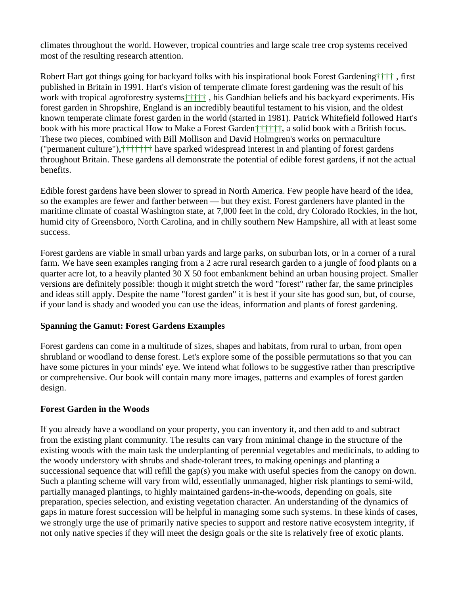climates throughout the world. However, tropical countries and large scale tree crop systems received most of the resulting research attention.

Robert Hart got things going for backyard folks with his inspirational book Forest Gardening†††† , first published in Britain in 1991. Hart's vision of temperate climate forest gardening was the result of his work with tropical agroforestry systems††††† , his Gandhian beliefs and his backyard experiments. His forest garden in Shropshire, England is an incredibly beautiful testament to his vision, and the oldest known temperate climate forest garden in the world (started in 1981). Patrick Whitefield followed Hart's book with his more practical How to Make a Forest Garden††††††, a solid book with a British focus. These two pieces, combined with Bill Mollison and David Holmgren's works on permaculture ("permanent culture"),††††††† have sparked widespread interest in and planting of forest gardens throughout Britain. These gardens all demonstrate the potential of edible forest gardens, if not the actual benefits.

Edible forest gardens have been slower to spread in North America. Few people have heard of the idea, so the examples are fewer and farther between — but they exist. Forest gardeners have planted in the maritime climate of coastal Washington state, at 7,000 feet in the cold, dry Colorado Rockies, in the hot, humid city of Greensboro, North Carolina, and in chilly southern New Hampshire, all with at least some success.

Forest gardens are viable in small urban yards and large parks, on suburban lots, or in a corner of a rural farm. We have seen examples ranging from a 2 acre rural research garden to a jungle of food plants on a quarter acre lot, to a heavily planted 30 X 50 foot embankment behind an urban housing project. Smaller versions are definitely possible: though it might stretch the word "forest" rather far, the same principles and ideas still apply. Despite the name "forest garden" it is best if your site has good sun, but, of course, if your land is shady and wooded you can use the ideas, information and plants of forest gardening.

#### **Spanning the Gamut: Forest Gardens Examples**

Forest gardens can come in a multitude of sizes, shapes and habitats, from rural to urban, from open shrubland or woodland to dense forest. Let's explore some of the possible permutations so that you can have some pictures in your minds' eye. We intend what follows to be suggestive rather than prescriptive or comprehensive. Our book will contain many more images, patterns and examples of forest garden design.

#### **Forest Garden in the Woods**

If you already have a woodland on your property, you can inventory it, and then add to and subtract from the existing plant community. The results can vary from minimal change in the structure of the existing woods with the main task the underplanting of perennial vegetables and medicinals, to adding to the woody understory with shrubs and shade-tolerant trees, to making openings and planting a successional sequence that will refill the gap(s) you make with useful species from the canopy on down. Such a planting scheme will vary from wild, essentially unmanaged, higher risk plantings to semi-wild, partially managed plantings, to highly maintained gardens-in-the-woods, depending on goals, site preparation, species selection, and existing vegetation character. An understanding of the dynamics of gaps in mature forest succession will be helpful in managing some such systems. In these kinds of cases, we strongly urge the use of primarily native species to support and restore native ecosystem integrity, if not only native species if they will meet the design goals or the site is relatively free of exotic plants.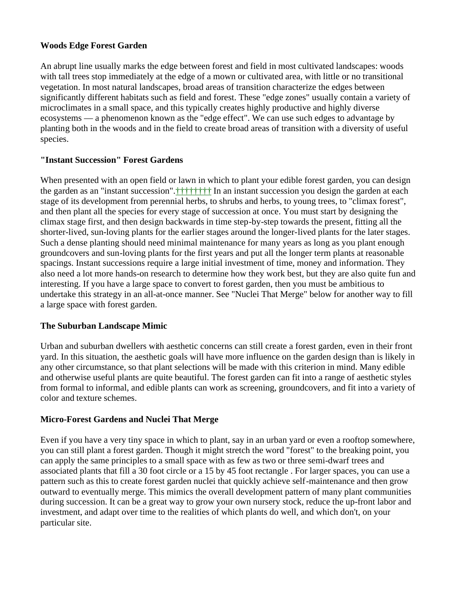#### **Woods Edge Forest Garden**

An abrupt line usually marks the edge between forest and field in most cultivated landscapes: woods with tall trees stop immediately at the edge of a mown or cultivated area, with little or no transitional vegetation. In most natural landscapes, broad areas of transition characterize the edges between significantly different habitats such as field and forest. These "edge zones" usually contain a variety of microclimates in a small space, and this typically creates highly productive and highly diverse ecosystems — a phenomenon known as the "edge effect". We can use such edges to advantage by planting both in the woods and in the field to create broad areas of transition with a diversity of useful species.

#### **"Instant Succession" Forest Gardens**

When presented with an open field or lawn in which to plant your edible forest garden, you can design the garden as an "instant succession".†††††††† In an instant succession you design the garden at each stage of its development from perennial herbs, to shrubs and herbs, to young trees, to "climax forest", and then plant all the species for every stage of succession at once. You must start by designing the climax stage first, and then design backwards in time step-by-step towards the present, fitting all the shorter-lived, sun-loving plants for the earlier stages around the longer-lived plants for the later stages. Such a dense planting should need minimal maintenance for many years as long as you plant enough groundcovers and sun-loving plants for the first years and put all the longer term plants at reasonable spacings. Instant successions require a large initial investment of time, money and information. They also need a lot more hands-on research to determine how they work best, but they are also quite fun and interesting. If you have a large space to convert to forest garden, then you must be ambitious to undertake this strategy in an all-at-once manner. See "Nuclei That Merge" below for another way to fill a large space with forest garden.

#### **The Suburban Landscape Mimic**

Urban and suburban dwellers with aesthetic concerns can still create a forest garden, even in their front yard. In this situation, the aesthetic goals will have more influence on the garden design than is likely in any other circumstance, so that plant selections will be made with this criterion in mind. Many edible and otherwise useful plants are quite beautiful. The forest garden can fit into a range of aesthetic styles from formal to informal, and edible plants can work as screening, groundcovers, and fit into a variety of color and texture schemes.

#### **Micro-Forest Gardens and Nuclei That Merge**

Even if you have a very tiny space in which to plant, say in an urban yard or even a rooftop somewhere, you can still plant a forest garden. Though it might stretch the word "forest" to the breaking point, you can apply the same principles to a small space with as few as two or three semi-dwarf trees and associated plants that fill a 30 foot circle or a 15 by 45 foot rectangle . For larger spaces, you can use a pattern such as this to create forest garden nuclei that quickly achieve self-maintenance and then grow outward to eventually merge. This mimics the overall development pattern of many plant communities during succession. It can be a great way to grow your own nursery stock, reduce the up-front labor and investment, and adapt over time to the realities of which plants do well, and which don't, on your particular site.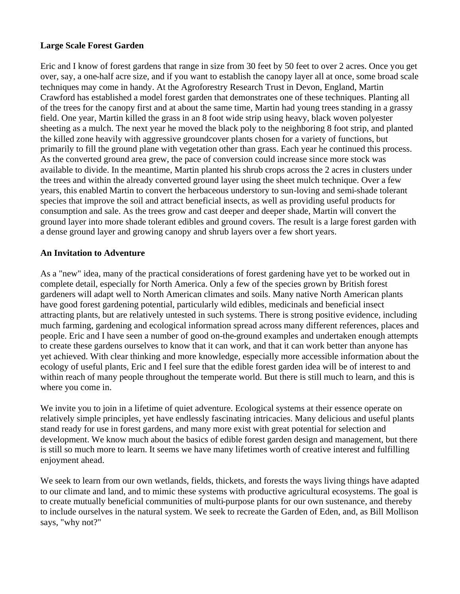#### **Large Scale Forest Garden**

Eric and I know of forest gardens that range in size from 30 feet by 50 feet to over 2 acres. Once you get over, say, a one-half acre size, and if you want to establish the canopy layer all at once, some broad scale techniques may come in handy. At the Agroforestry Research Trust in Devon, England, Martin Crawford has established a model forest garden that demonstrates one of these techniques. Planting all of the trees for the canopy first and at about the same time, Martin had young trees standing in a grassy field. One year, Martin killed the grass in an 8 foot wide strip using heavy, black woven polyester sheeting as a mulch. The next year he moved the black poly to the neighboring 8 foot strip, and planted the killed zone heavily with aggressive groundcover plants chosen for a variety of functions, but primarily to fill the ground plane with vegetation other than grass. Each year he continued this process. As the converted ground area grew, the pace of conversion could increase since more stock was available to divide. In the meantime, Martin planted his shrub crops across the 2 acres in clusters under the trees and within the already converted ground layer using the sheet mulch technique. Over a few years, this enabled Martin to convert the herbaceous understory to sun-loving and semi-shade tolerant species that improve the soil and attract beneficial insects, as well as providing useful products for consumption and sale. As the trees grow and cast deeper and deeper shade, Martin will convert the ground layer into more shade tolerant edibles and ground covers. The result is a large forest garden with a dense ground layer and growing canopy and shrub layers over a few short years.

#### **An Invitation to Adventure**

As a "new" idea, many of the practical considerations of forest gardening have yet to be worked out in complete detail, especially for North America. Only a few of the species grown by British forest gardeners will adapt well to North American climates and soils. Many native North American plants have good forest gardening potential, particularly wild edibles, medicinals and beneficial insect attracting plants, but are relatively untested in such systems. There is strong positive evidence, including much farming, gardening and ecological information spread across many different references, places and people. Eric and I have seen a number of good on-the-ground examples and undertaken enough attempts to create these gardens ourselves to know that it can work, and that it can work better than anyone has yet achieved. With clear thinking and more knowledge, especially more accessible information about the ecology of useful plants, Eric and I feel sure that the edible forest garden idea will be of interest to and within reach of many people throughout the temperate world. But there is still much to learn, and this is where you come in.

We invite you to join in a lifetime of quiet adventure. Ecological systems at their essence operate on relatively simple principles, yet have endlessly fascinating intricacies. Many delicious and useful plants stand ready for use in forest gardens, and many more exist with great potential for selection and development. We know much about the basics of edible forest garden design and management, but there is still so much more to learn. It seems we have many lifetimes worth of creative interest and fulfilling enjoyment ahead.

We seek to learn from our own wetlands, fields, thickets, and forests the ways living things have adapted to our climate and land, and to mimic these systems with productive agricultural ecosystems. The goal is to create mutually beneficial communities of multi-purpose plants for our own sustenance, and thereby to include ourselves in the natural system. We seek to recreate the Garden of Eden, and, as Bill Mollison says, "why not?"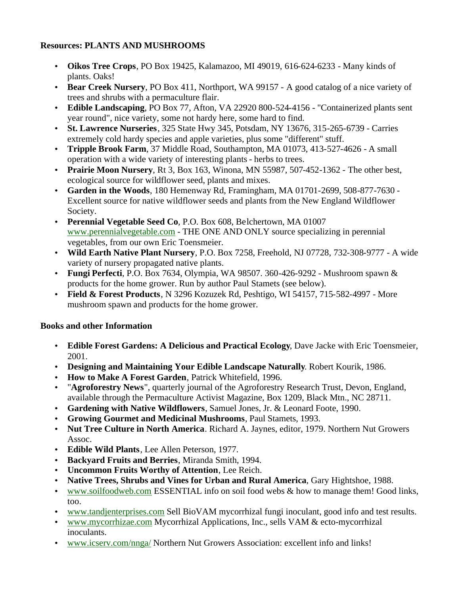### **Resources: PLANTS AND MUSHROOMS**

- **Oikos Tree Crops**, PO Box 19425, Kalamazoo, MI 49019, 616-624-6233 Many kinds of plants. Oaks!
- **Bear Creek Nursery**, PO Box 411, Northport, WA 99157 A good catalog of a nice variety of trees and shrubs with a permaculture flair.
- **Edible Landscaping**, PO Box 77, Afton, VA 22920 800-524-4156 "Containerized plants sent year round", nice variety, some not hardy here, some hard to find.
- **St. Lawrence Nurseries**, 325 State Hwy 345, Potsdam, NY 13676, 315-265-6739 Carries extremely cold hardy species and apple varieties, plus some "different" stuff.
- **Tripple Brook Farm**, 37 Middle Road, Southampton, MA 01073, 413-527-4626 A small operation with a wide variety of interesting plants - herbs to trees.
- **Prairie Moon Nursery**, Rt 3, Box 163, Winona, MN 55987, 507-452-1362 The other best, ecological source for wildflower seed, plants and mixes.
- **Garden in the Woods**, 180 Hemenway Rd, Framingham, MA 01701-2699, 508-877-7630 Excellent source for native wildflower seeds and plants from the New England Wildflower Society.
- **Perennial Vegetable Seed Co**, P.O. Box 608, Belchertown, MA 01007 www.perennialvegetable.com - THE ONE AND ONLY source specializing in perennial vegetables, from our own Eric Toensmeier.
- **Wild Earth Native Plant Nursery**, P.O. Box 7258, Freehold, NJ 07728, 732-308-9777 A wide variety of nursery propagated native plants.
- **Fungi Perfecti**, P.O. Box 7634, Olympia, WA 98507. 360-426-9292 Mushroom spawn & products for the home grower. Run by author Paul Stamets (see below).
- **Field & Forest Products**, N 3296 Kozuzek Rd, Peshtigo, WI 54157, 715-582-4997 More mushroom spawn and products for the home grower.

### **Books and other Information**

- **Edible Forest Gardens: A Delicious and Practical Ecology**, Dave Jacke with Eric Toensmeier, 2001.
- **Designing and Maintaining Your Edible Landscape Naturally**. Robert Kourik, 1986.
- **How to Make A Forest Garden**, Patrick Whitefield, 1996.
- "**Agroforestry News**", quarterly journal of the Agroforestry Research Trust, Devon, England, available through the Permaculture Activist Magazine, Box 1209, Black Mtn., NC 28711.
- **Gardening with Native Wildflowers**, Samuel Jones, Jr. & Leonard Foote, 1990.
- **Growing Gourmet and Medicinal Mushrooms**, Paul Stamets, 1993.
- **Nut Tree Culture in North America**. Richard A. Jaynes, editor, 1979. Northern Nut Growers Assoc.
- **Edible Wild Plants**, Lee Allen Peterson, 1977.
- **Backyard Fruits and Berries**, Miranda Smith, 1994.
- **Uncommon Fruits Worthy of Attention**, Lee Reich.
- **Native Trees, Shrubs and Vines for Urban and Rural America**, Gary Hightshoe, 1988.
- www.soilfoodweb.com ESSENTIAL info on soil food webs & how to manage them! Good links, too.
- www.tandjenterprises.com Sell BioVAM mycorrhizal fungi inoculant, good info and test results.
- www.mycorrhizae.com Mycorrhizal Applications, Inc., sells VAM & ecto-mycorrhizal inoculants.
- www.icserv.com/nnga/ Northern Nut Growers Association: excellent info and links!